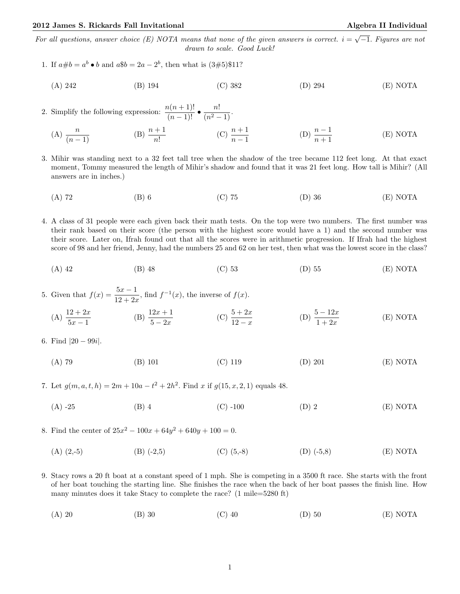For all questions, answer choice (E) NOTA means that none of the given answers is correct.  $i = \sqrt{-1}$ . Figures are not drawn to scale. Good Luck!

- 1. If  $a \# b = a^b \bullet b$  and  $a \$ b = 2a 2^b$ , then what is  $(3 \# 5) \$ 11?$ 
	- (A) 242 (B) 194 (C) 382 (D) 294 (E) NOTA

2. Simplify the following expression:  $\frac{n(n+1)!}{(n-1)!} \bullet \frac{n!}{(n^2-1)}$ .

- (A)  $\frac{n}{(n-1)}$  $\frac{n}{(n-1)}$  (B)  $\frac{n+1}{n!}$  (C)  $\frac{n+1}{n-1}$ (D)  $\frac{n-1}{n+1}$ (E) NOTA
- 3. Mihir was standing next to a 32 feet tall tree when the shadow of the tree became 112 feet long. At that exact moment, Tommy measured the length of Mihir's shadow and found that it was 21 feet long. How tall is Mihir? (All answers are in inches.)
	- (A) 72 (B) 6 (C) 75 (D) 36 (E) NOTA
- 4. A class of 31 people were each given back their math tests. On the top were two numbers. The first number was their rank based on their score (the person with the highest score would have a 1) and the second number was their score. Later on, Ifrah found out that all the scores were in arithmetic progression. If Ifrah had the highest score of 98 and her friend, Jenny, had the numbers 25 and 62 on her test, then what was the lowest score in the class?
	- (A) 42 (B) 48 (C) 53 (D) 55 (E) NOTA

5. Given that  $f(x) = \frac{5x-1}{12+2x}$ , find  $f^{-1}(x)$ , the inverse of  $f(x)$ .

(A) 
$$
\frac{12 + 2x}{5x - 1}
$$
 (B)  $\frac{12x + 1}{5 - 2x}$  (C)  $\frac{5 + 2x}{12 - x}$  (D)  $\frac{5 - 12x}{1 + 2x}$  (E) NOTA

6. Find  $|20 - 99i|$ .

(A) 79 (B) 101 (C) 119 (D) 201 (E) NOTA

7. Let  $g(m, a, t, h) = 2m + 10a - t^2 + 2h^2$ . Find x if  $g(15, x, 2, 1)$  equals 48.

(A) -25 (B) 4 (C) -100 (D) 2 (E) NOTA

8. Find the center of  $25x^2 - 100x + 64y^2 + 640y + 100 = 0$ .

- (A)  $(2,5)$  (B)  $(-2,5)$  (C)  $(5,8)$  (D)  $(-5,8)$  (E) NOTA
- 9. Stacy rows a 20 ft boat at a constant speed of 1 mph. She is competing in a 3500 ft race. She starts with the front of her boat touching the starting line. She finishes the race when the back of her boat passes the finish line. How many minutes does it take Stacy to complete the race? (1 mile=5280 ft)
	- (A) 20 (B) 30 (C) 40 (D) 50 (E) NOTA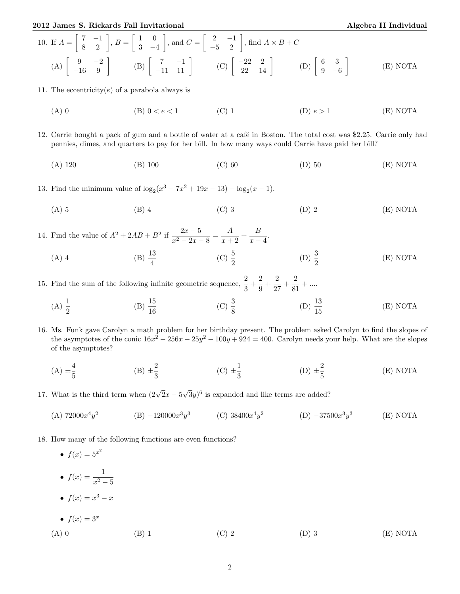2012 James S. Rickards Fall Invitational Algebra II Individual Algebra II Individual

10. If 
$$
A = \begin{bmatrix} 7 & -1 \\ 8 & 2 \end{bmatrix}
$$
,  $B = \begin{bmatrix} 1 & 0 \\ 3 & -4 \end{bmatrix}$ , and  $C = \begin{bmatrix} 2 & -1 \\ -5 & 2 \end{bmatrix}$ , find  $A \times B + C$   
\n(A)  $\begin{bmatrix} 9 & -2 \\ -16 & 9 \end{bmatrix}$  (B)  $\begin{bmatrix} 7 & -1 \\ -11 & 11 \end{bmatrix}$  (C)  $\begin{bmatrix} -22 & 2 \\ 22 & 14 \end{bmatrix}$  (D)  $\begin{bmatrix} 6 & 3 \\ 9 & -6 \end{bmatrix}$  (E) NOTA

11. The eccentricity( $e$ ) of a parabola always is

(A) 0 (B)  $0 < e < 1$  (C) 1 (D)  $e > 1$  (E) NOTA

12. Carrie bought a pack of gum and a bottle of water at a café in Boston. The total cost was \$2.25. Carrie only had pennies, dimes, and quarters to pay for her bill. In how many ways could Carrie have paid her bill?

(A) 120 (B) 100 (C) 60 (D) 50 (E) NOTA

13. Find the minimum value of  $\log_2(x^3 - 7x^2 + 19x - 13) - \log_2(x - 1)$ .

(A) 5 (B) 4 (C) 3 (D) 2 (E) NOTA

14. Find the value of  $A^2 + 2AB + B^2$  if  $\frac{2x-5}{x^2-2x-8} = \frac{A}{x+1}$  $\frac{A}{x+2} + \frac{B}{x-1}$  $\frac{D}{x-4}.$ 

(A) 4 (B)  $\frac{13}{4}$  (C)  $\frac{5}{2}$ (D)  $\frac{3}{2}$ (E) NOTA

15. Find the sum of the following infinite geometric sequence,  $\frac{2}{3} + \frac{2}{9}$  $\frac{2}{9} + \frac{2}{27}$  $rac{2}{27} + \frac{2}{81}$  $\frac{2}{81} + ...$ 

- (A)  $\frac{1}{2}$ (B)  $\frac{15}{16}$ (C)  $\frac{3}{8}$ (D)  $\frac{13}{15}$ (E) NOTA
- 16. Ms. Funk gave Carolyn a math problem for her birthday present. The problem asked Carolyn to find the slopes of the asymptotes of the conic  $16x^2 - 256x - 25y^2 - 100y + 924 = 400$ . Carolyn needs your help. What are the slopes of the asymptotes?
	- $(A) \pm \frac{4}{5}$ 5  $(B) \pm \frac{2}{3}$  $\frac{2}{3}$  (C)  $\pm \frac{1}{3}$ 3  $(D) \pm \frac{2}{5}$ 5 (E) NOTA
- 17. What is the third term when  $(2\sqrt{2}x 5)$ √  $(3y)^6$  is expanded and like terms are added?
	- $(A) 72000x^4y^2$ (B)  $-120000x^3y^3$  (C)  $38400x^4y^2$  $(D)$  –37500 $x^3y^3$ (E) NOTA
- 18. How many of the following functions are even functions?
	- $f(x) = 5^{x^2}$ •  $f(x) = \frac{1}{x^2 - 5}$ •  $f(x) = x^3 - x$ •  $f(x) = 3^x$ (A) 0 (B) 1 (C) 2 (D) 3 (E) NOTA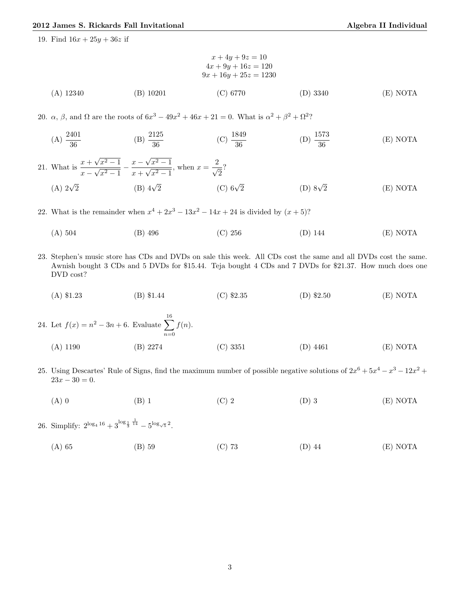19. Find  $16x + 25y + 36z$  if

$$
x + 4y + 9z = 10
$$
  
\n
$$
4x + 9y + 16z = 120
$$
  
\n
$$
9x + 16y + 25z = 1230
$$
  
\n(A) 12340 (B) 10201 (C) 6770 (D) 3340 (E) NOTA

20.  $\alpha$ ,  $\beta$ , and  $\Omega$  are the roots of  $6x^3 - 49x^2 + 46x + 21 = 0$ . What is  $\alpha^2 + \beta^2 + \Omega^2$ ?

(A) 
$$
\frac{2401}{36}
$$
 \t\t (B)  $\frac{2125}{36}$  \t\t (C)  $\frac{1849}{36}$  \t\t (D)  $\frac{1573}{36}$  \t\t (E) NOTA

21. What is  $\frac{x + }{ }$ √  $x^2-1$  $x \frac{v}{\sqrt{2}}$  $\frac{x^2-1}{x^2-1} - \frac{x-1}{x+1}$ √  $x^2-1$  $x +$  $\frac{v}{\sqrt{2}}$  $\frac{x^2 - 1}{x^2 - 1}$ , when  $x = \frac{2}{\sqrt{2}}$  $\overline{\overline{2}}$ ? (A)  $2\sqrt{2}$ 2 (B)  $4\sqrt{2}$  (C)  $6\sqrt{2}$ (C)  $6\sqrt{2}$  (D)  $8\sqrt{2}$ 2 (E) NOTA

22. What is the remainder when  $x^4 + 2x^3 - 13x^2 - 14x + 24$  is divided by  $(x + 5)$ ?

- (A) 504 (B) 496 (C) 256 (D) 144 (E) NOTA
- 23. Stephen's music store has CDs and DVDs on sale this week. All CDs cost the same and all DVDs cost the same. Awnish bought 3 CDs and 5 DVDs for \$15.44. Teja bought 4 CDs and 7 DVDs for \$21.37. How much does one DVD cost?
	- (A) \$1.23 (B) \$1.44 (C) \$2.35 (D) \$2.50 (E) NOTA

24. Let 
$$
f(x) = n^2 - 3n + 6
$$
. Evaluate  $\sum_{n=0}^{16} f(n)$ .  
(A) 1190 (B) 2274 (C) 3351 (D) 4461 (E) NOTA

- 25. Using Descartes' Rule of Signs, find the maximum number of possible negative solutions of  $2x^6 + 5x^4 x^3 12x^2 +$  $23x - 30 = 0.$ 
	- (A) 0 (B) 1 (C) 2 (D) 3 (E) NOTA

26. Simplify:  $2^{\log_4 16} + 3^{\log_4 16}$  $\frac{1}{14}$  –  $5^{\log_{\sqrt{5}}2}$ .

(A) 65 (B) 59 (C) 73 (D) 44 (E) NOTA